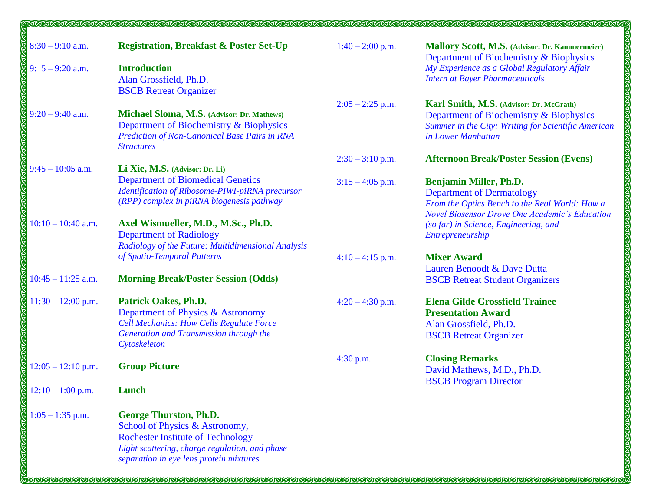| $8:30 - 9:10$ a.m.   | <b>Registration, Breakfast &amp; Poster Set-Up</b>                                                                                                                                                       | $1:40 - 2:00$ p.m. | Mallory Scott, M.S. (Advisor: Dr. Kammermeier)<br>Department of Biochemistry & Biophysics                                                                             |
|----------------------|----------------------------------------------------------------------------------------------------------------------------------------------------------------------------------------------------------|--------------------|-----------------------------------------------------------------------------------------------------------------------------------------------------------------------|
| $9:15 - 9:20$ a.m.   | <b>Introduction</b><br>Alan Grossfield, Ph.D.<br><b>BSCB Retreat Organizer</b>                                                                                                                           |                    | My Experience as a Global Regulatory Affair<br><b>Intern at Bayer Pharmaceuticals</b>                                                                                 |
| $9:20 - 9:40$ a.m.   | Michael Sloma, M.S. (Advisor: Dr. Mathews)<br>Department of Biochemistry & Biophysics<br><b>Prediction of Non-Canonical Base Pairs in RNA</b><br><b>Structures</b>                                       | $2:05 - 2:25$ p.m. | Karl Smith, M.S. (Advisor: Dr. McGrath)<br>Department of Biochemistry & Biophysics<br>Summer in the City: Writing for Scientific American<br>in Lower Manhattan       |
|                      |                                                                                                                                                                                                          | $2:30 - 3:10$ p.m. | <b>Afternoon Break/Poster Session (Evens)</b>                                                                                                                         |
| $9:45 - 10:05$ a.m.  | Li Xie, M.S. (Advisor: Dr. Li)<br><b>Department of Biomedical Genetics</b><br>Identification of Ribosome-PIWI-piRNA precursor<br>(RPP) complex in piRNA biogenesis pathway                               | $3:15 - 4:05$ p.m. | <b>Benjamin Miller, Ph.D.</b><br><b>Department of Dermatology</b><br>From the Optics Bench to the Real World: How a<br>Novel Biosensor Drove One Academic's Education |
| $10:10 - 10:40$ a.m. | Axel Wismueller, M.D., M.Sc., Ph.D.<br><b>Department of Radiology</b><br>Radiology of the Future: Multidimensional Analysis                                                                              |                    | (so far) in Science, Engineering, and<br>Entrepreneurship                                                                                                             |
|                      | of Spatio-Temporal Patterns                                                                                                                                                                              | $4:10-4:15$ p.m.   | <b>Mixer Award</b>                                                                                                                                                    |
| $10:45 - 11:25$ a.m. | <b>Morning Break/Poster Session (Odds)</b>                                                                                                                                                               |                    | Lauren Benoodt & Dave Dutta<br><b>BSCB</b> Retreat Student Organizers                                                                                                 |
| $11:30 - 12:00$ p.m. | <b>Patrick Oakes, Ph.D.</b><br>Department of Physics & Astronomy<br><b>Cell Mechanics: How Cells Regulate Force</b><br>Generation and Transmission through the<br>Cytoskeleton                           | $4:20 - 4:30$ p.m. | <b>Elena Gilde Grossfield Trainee</b><br><b>Presentation Award</b><br>Alan Grossfield, Ph.D.<br><b>BSCB</b> Retreat Organizer                                         |
| $12:05 - 12:10$ p.m. | <b>Group Picture</b>                                                                                                                                                                                     | 4:30 p.m.          | <b>Closing Remarks</b><br>David Mathews, M.D., Ph.D.                                                                                                                  |
| $12:10 - 1:00$ p.m.  | Lunch                                                                                                                                                                                                    |                    | <b>BSCB</b> Program Director                                                                                                                                          |
| $1:05 - 1:35$ p.m.   | <b>George Thurston, Ph.D.</b><br>School of Physics & Astronomy,<br><b>Rochester Institute of Technology</b><br>Light scattering, charge regulation, and phase<br>separation in eye lens protein mixtures |                    |                                                                                                                                                                       |